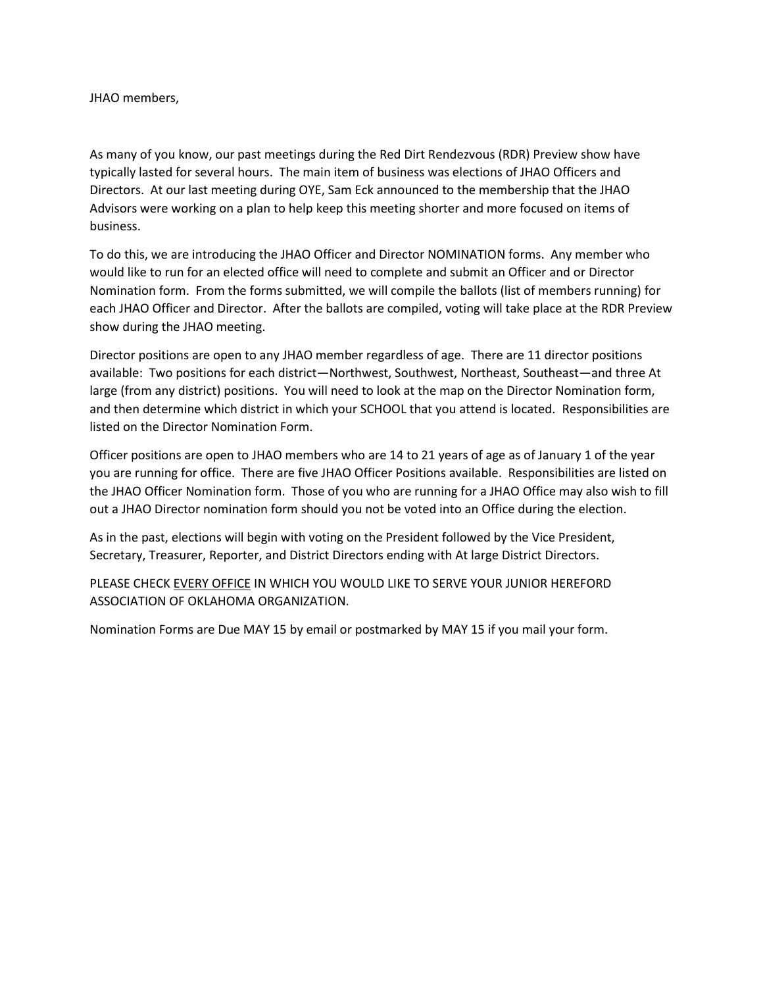JHAO members,

As many of you know, our past meetings during the Red Dirt Rendezvous (RDR) Preview show have typically lasted for several hours. The main item of business was elections of JHAO Officers and Directors. At our last meeting during OYE, Sam Eck announced to the membership that the JHAO Advisors were working on a plan to help keep this meeting shorter and more focused on items of business.

To do this, we are introducing the JHAO Officer and Director NOMINATION forms. Any member who would like to run for an elected office will need to complete and submit an Officer and or Director Nomination form. From the forms submitted, we will compile the ballots (list of members running) for each JHAO Officer and Director. After the ballots are compiled, voting will take place at the RDR Preview show during the JHAO meeting.

Director positions are open to any JHAO member regardless of age. There are 11 director positions available: Two positions for each district—Northwest, Southwest, Northeast, Southeast—and three At large (from any district) positions. You will need to look at the map on the Director Nomination form, and then determine which district in which your SCHOOL that you attend is located. Responsibilities are listed on the Director Nomination Form.

Officer positions are open to JHAO members who are 14 to 21 years of age as of January 1 of the year you are running for office. There are five JHAO Officer Positions available. Responsibilities are listed on the JHAO Officer Nomination form. Those of you who are running for a JHAO Office may also wish to fill out a JHAO Director nomination form should you not be voted into an Office during the election.

As in the past, elections will begin with voting on the President followed by the Vice President, Secretary, Treasurer, Reporter, and District Directors ending with At large District Directors.

PLEASE CHECK EVERY OFFICE IN WHICH YOU WOULD LIKE TO SERVE YOUR JUNIOR HEREFORD ASSOCIATION OF OKLAHOMA ORGANIZATION.

Nomination Forms are Due MAY 15 by email or postmarked by MAY 15 if you mail your form.